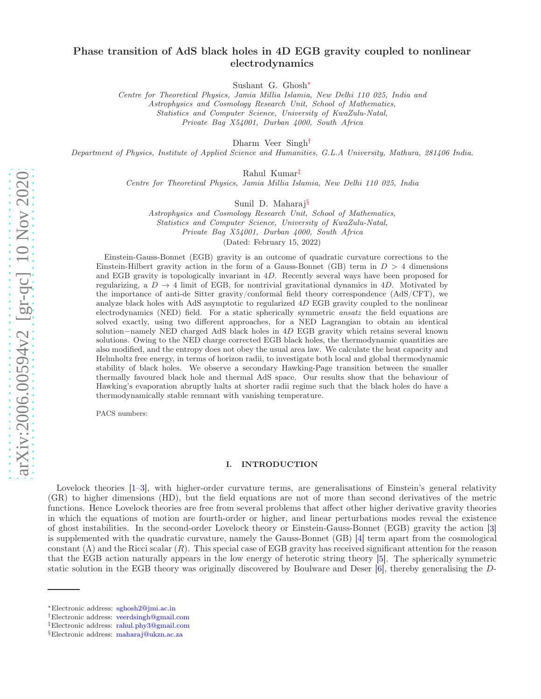# Phase transition of AdS black holes in 4D EGB gravity coupled to nonlinear electrodynamics

Sushant G. Ghosh[∗](#page-0-0)

Centre for Theoretical Physics, Jamia Millia Islamia, New Delhi 110 025, India and Astrophysics and Cosmology Research Unit, School of Mathematics, Statistics and Computer Science, University of KwaZulu-Natal, Private Bag X54001, Durban 4000, South Africa

Dharm Veer Singh[†](#page-0-1)

Department of Physics, Institute of Applied Science and Humanities, G.L.A University, Mathura, 281406 India.

Rahul Kumar[‡](#page-0-2)

Centre for Theoretical Physics, Jamia Millia Islamia, New Delhi 110 025, India

Sunil D. Maharaj[§](#page-0-3)

Astrophysics and Cosmology Research Unit, School of Mathematics, Statistics and Computer Science, University of KwaZulu-Natal, Private Bag X54001, Durban 4000, South Africa

(Dated: February 15, 2022)

Einstein-Gauss-Bonnet (EGB) gravity is an outcome of quadratic curvature corrections to the Einstein-Hilbert gravity action in the form of a Gauss-Bonnet (GB) term in  $D > 4$  dimensions and EGB gravity is topologically invariant in 4D. Recently several ways have been proposed for regularizing, a  $D \to 4$  limit of EGB, for nontrivial gravitational dynamics in 4D. Motivated by the importance of anti-de Sitter gravity/conformal field theory correspondence (AdS/CFT), we analyze black holes with AdS asymptotic to regularized 4D EGB gravity coupled to the nonlinear electrodynamics (NED) field. For a static spherically symmetric *ansatz* the field equations are solved exactly, using two different approaches, for a NED Lagrangian to obtain an identical solution−namely NED charged AdS black holes in 4D EGB gravity which retains several known solutions. Owing to the NED charge corrected EGB black holes, the thermodynamic quantities are also modified, and the entropy does not obey the usual area law. We calculate the heat capacity and Helmholtz free energy, in terms of horizon radii, to investigate both local and global thermodynamic stability of black holes. We observe a secondary Hawking-Page transition between the smaller thermally favoured black hole and thermal AdS space. Our results show that the behaviour of Hawking's evaporation abruptly halts at shorter radii regime such that the black holes do have a thermodynamically stable remnant with vanishing temperature.

PACS numbers:

# I. INTRODUCTION

Lovelock theories  $[1-3]$ , with higher-order curvature terms, are generalisations of Einstein's general relativity (GR) to higher dimensions (HD), but the field equations are not of more than second derivatives of the metric functions. Hence Lovelock theories are free from several problems that affect other higher derivative gravity theories in which the equations of motion are fourth-order or higher, and linear perturbations modes reveal the existence of ghost instabilities. In the second-order Lovelock theory or Einstein-Gauss-Bonnet (EGB) gravity the action [\[3](#page-13-1)] is supplemented with the quadratic curvature, namely the Gauss-Bonnet (GB) [\[4\]](#page-14-0) term apart from the cosmological constant  $(\Lambda)$  and the Ricci scalar  $(R)$ . This special case of EGB gravity has received significant attention for the reason that the EGB action naturally appears in the low energy of heterotic string theory [\[5](#page-14-1)]. The spherically symmetric static solution in the EGB theory was originally discovered by Boulware and Deser [\[6](#page-14-2)], thereby generalising the D-

<span id="page-0-0"></span><sup>∗</sup>Electronic address: [sghosh2@jmi.ac.in](mailto:sghosh2@jmi.ac.in)

<span id="page-0-1"></span><sup>†</sup>Electronic address: [veerdsingh@gmail.com](mailto:veerdsingh@gmail.com)

<span id="page-0-2"></span><sup>‡</sup>Electronic address: [rahul.phy3@gmail.com](mailto:rahul.phy3@gmail.com)

<span id="page-0-3"></span><sup>§</sup>Electronic address: [maharaj@ukzn.ac.za](mailto:maharaj@ukzn.ac.za)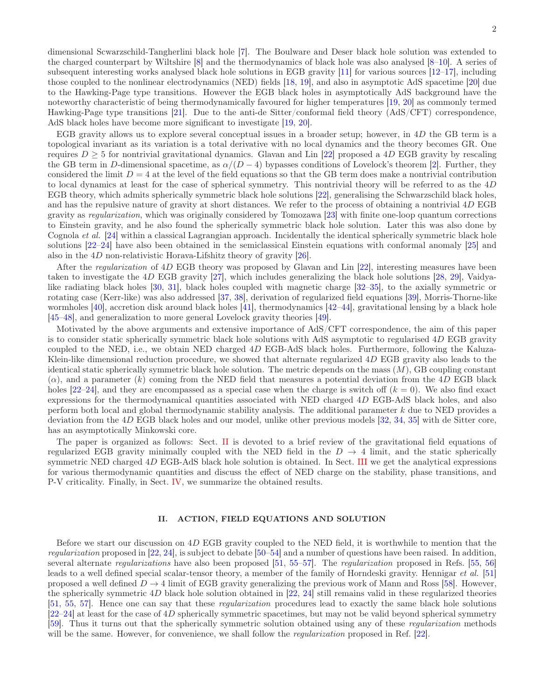dimensional Scwarzschild-Tangherlini black hole [\[7](#page-14-3)]. The Boulware and Deser black hole solution was extended to the charged counterpart by Wiltshire [\[8](#page-14-4)] and the thermodynamics of black hole was also analysed [\[8](#page-14-4)[–10\]](#page-14-5). A series of subsequent interesting works analysed black hole solutions in EGB gravity [\[11\]](#page-14-6) for various sources [\[12](#page-14-7)[–17](#page-14-8)], including those coupled to the nonlinear electrodynamics (NED) fields [\[18,](#page-14-9) [19\]](#page-14-10), and also in asymptotic AdS spacetime [\[20\]](#page-14-11) due to the Hawking-Page type transitions. However the EGB black holes in asymptotically AdS background have the noteworthy characteristic of being thermodynamically favoured for higher temperatures [\[19](#page-14-10), [20](#page-14-11)] as commonly termed Hawking-Page type transitions [\[21\]](#page-14-12). Due to the anti-de Sitter/conformal field theory (AdS/CFT) correspondence, AdS black holes have become more significant to investigate [\[19,](#page-14-10) [20](#page-14-11)].

EGB gravity allows us to explore several conceptual issues in a broader setup; however, in 4D the GB term is a topological invariant as its variation is a total derivative with no local dynamics and the theory becomes GR. One requires  $D \geq 5$  for nontrivial gravitational dynamics. Glavan and Lin [\[22](#page-14-13)] proposed a 4D EGB gravity by rescaling the GB term in D-dimensional spacetime, as  $\alpha/(D-4)$  bypasses conditions of Lovelock's theorem [\[2](#page-13-2)]. Further, they considered the limit  $D = 4$  at the level of the field equations so that the GB term does make a nontrivial contribution to local dynamics at least for the case of spherical symmetry. This nontrivial theory will be referred to as the 4D EGB theory, which admits spherically symmetric black hole solutions [\[22\]](#page-14-13), generalising the Schwarzschild black holes, and has the repulsive nature of gravity at short distances. We refer to the process of obtaining a nontrivial 4D EGB gravity as *regularization*, which was originally considered by Tomozawa [\[23\]](#page-14-14) with finite one-loop quantum corrections to Einstein gravity, and he also found the spherically symmetric black hole solution. Later this was also done by Cognola *et al.* [\[24](#page-14-15)] within a classical Lagrangian approach. Incidentally the identical spherically symmetric black hole solutions [\[22](#page-14-13)[–24](#page-14-15)] have also been obtained in the semiclassical Einstein equations with conformal anomaly [\[25](#page-14-16)] and also in the 4D non-relativistic Horava-Lifshitz theory of gravity [\[26](#page-14-17)].

After the *regularization* of 4D EGB theory was proposed by Glavan and Lin [\[22](#page-14-13)], interesting measures have been taken to investigate the 4D EGB gravity [\[27](#page-14-18)], which includes generalizing the black hole solutions [\[28](#page-14-19), [29\]](#page-14-20), Vaidyalike radiating black holes [\[30](#page-14-21), [31](#page-14-22)], black holes coupled with magnetic charge [\[32](#page-14-23)[–35\]](#page-14-24), to the axially symmetric or rotating case (Kerr-like) was also addressed [\[37](#page-14-25), [38](#page-14-26)], derivation of regularized field equations [\[39\]](#page-14-27), Morris-Thorne-like wormholes [\[40\]](#page-14-28), accretion disk around black holes [\[41\]](#page-14-29), thermodynamics [\[42](#page-14-30)[–44](#page-14-31)], gravitational lensing by a black hole [\[45](#page-14-32)[–48\]](#page-14-33), and generalization to more general Lovelock gravity theories [\[49\]](#page-14-34).

Motivated by the above arguments and extensive importance of AdS/CFT correspondence, the aim of this paper is to consider static spherically symmetric black hole solutions with AdS asymptotic to regularised 4D EGB gravity coupled to the NED, i.e., we obtain NED charged 4D EGB-AdS black holes. Furthermore, following the Kaluza-Klein-like dimensional reduction procedure, we showed that alternate regularized 4D EGB gravity also leads to the identical static spherically symmetric black hole solution. The metric depends on the mass  $(M)$ , GB coupling constant  $(\alpha)$ , and a parameter  $(k)$  coming from the NED field that measures a potential deviation from the 4D EGB black holes  $[22-24]$ , and they are encompassed as a special case when the charge is switch off  $(k = 0)$ . We also find exact expressions for the thermodynamical quantities associated with NED charged 4D EGB-AdS black holes, and also perform both local and global thermodynamic stability analysis. The additional parameter k due to NED provides a deviation from the 4D EGB black holes and our model, unlike other previous models [\[32](#page-14-23), [34](#page-14-35), [35](#page-14-24)] with de Sitter core, has an asymptotically Minkowski core.

The paper is organized as follows: Sect. [II](#page-1-0) is devoted to a brief review of the gravitational field equations of regularized EGB gravity minimally coupled with the NED field in the  $D \rightarrow 4$  limit, and the static spherically symmetric NED charged 4D EGB-AdS black hole solution is obtained. In Sect. [III](#page-5-0) we get the analytical expressions for various thermodynamic quantities and discuss the effect of NED charge on the stability, phase transitions, and P-V criticality. Finally, in Sect. [IV,](#page-11-0) we summarize the obtained results.

# <span id="page-1-0"></span>II. ACTION, FIELD EQUATIONS AND SOLUTION

Before we start our discussion on 4D EGB gravity coupled to the NED field, it is worthwhile to mention that the *regularization* proposed in [\[22](#page-14-13), [24](#page-14-15)], is subject to debate [\[50](#page-14-36)[–54\]](#page-15-0) and a number of questions have been raised. In addition, several alternate *regularizations* have also been proposed [\[51](#page-15-1), [55](#page-15-2)[–57\]](#page-15-3). The *regularization* proposed in Refs. [\[55,](#page-15-2) [56](#page-15-4)] leads to a well defined special scalar-tensor theory, a member of the family of Horndeski gravity. Hennigar *et al.* [\[51](#page-15-1)] proposed a well defined  $D \to 4$  limit of EGB gravity generalizing the previous work of Mann and Ross [\[58\]](#page-15-5). However, the spherically symmetric 4D black hole solution obtained in [\[22,](#page-14-13) [24\]](#page-14-15) still remains valid in these regularized theories [\[51,](#page-15-1) [55,](#page-15-2) [57](#page-15-3)]. Hence one can say that these *regularization* procedures lead to exactly the same black hole solutions  $[22-24]$  $[22-24]$  at least for the case of 4D spherically symmetric spacetimes, but may not be valid beyond spherical symmetry [\[59\]](#page-15-6). Thus it turns out that the spherically symmetric solution obtained using any of these *regularization* methods will be the same. However, for convenience, we shall follow the *regularization* proposed in Ref. [\[22\]](#page-14-13).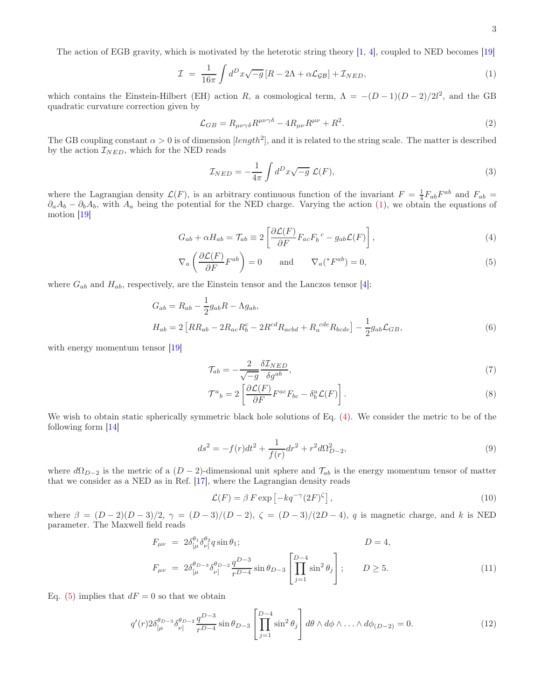The action of EGB gravity, which is motivated by the heterotic string theory [\[1](#page-13-0), [4\]](#page-14-0), coupled to NED becomes [\[19\]](#page-14-10)

<span id="page-2-0"></span>
$$
\mathcal{I} = \frac{1}{16\pi} \int d^D x \sqrt{-g} \left[ R - 2\Lambda + \alpha \mathcal{L}_{\mathcal{G}\mathcal{B}} \right] + \mathcal{I}_{NED},\tag{1}
$$

which contains the Einstein-Hilbert (EH) action R, a cosmological term,  $\Lambda = -(D-1)(D-2)/2l^2$ , and the GB quadratic curvature correction given by

$$
\mathcal{L}_{GB} = R_{\mu\nu\gamma\delta} R^{\mu\nu\gamma\delta} - 4R_{\mu\nu} R^{\mu\nu} + R^2. \tag{2}
$$

The GB coupling constant  $\alpha > 0$  is of dimension [length<sup>2</sup>], and it is related to the string scale. The matter is described by the action  $\mathcal{I}_{NED}$ , which for the NED reads

$$
\mathcal{I}_{NED} = -\frac{1}{4\pi} \int d^D x \sqrt{-g} \ \mathcal{L}(F), \tag{3}
$$

where the Lagrangian density  $\mathcal{L}(F)$ , is an arbitrary continuous function of the invariant  $F = \frac{1}{4} F_{ab} F^{ab}$  and  $F_{ab} = \frac{1}{4} F_{ab} F^{ab}$  $\partial_a A_b - \partial_b A_b$ , with  $A_a$  being the potential for the NED charge. Varying the action [\(1\)](#page-2-0), we obtain the equations of motion [\[19\]](#page-14-10)

<span id="page-2-1"></span>
$$
G_{ab} + \alpha H_{ab} = \mathcal{T}_{ab} \equiv 2 \left[ \frac{\partial \mathcal{L}(F)}{\partial F} F_{ac} F_b{}^c - g_{ab} \mathcal{L}(F) \right],\tag{4}
$$

$$
\nabla_a \left( \frac{\partial \mathcal{L}(F)}{\partial F} F^{ab} \right) = 0 \quad \text{and} \quad \nabla_a ({}^* F^{ab}) = 0,
$$
\n<sup>(5)</sup>

where  $G_{ab}$  and  $H_{ab}$ , respectively, are the Einstein tensor and the Lanczos tensor [\[4](#page-14-0)]:

$$
G_{ab} = R_{ab} - \frac{1}{2}g_{ab}R - \Lambda g_{ab},
$$
  
\n
$$
H_{ab} = 2[RR_{ab} - 2R_{ac}R_b^c - 2R^{cd}R_{acbd} + R_a^{cde}R_{bcde}] - \frac{1}{2}g_{ab}\mathcal{L}_{GB},
$$
\n(6)

with energy momentum tensor [\[19\]](#page-14-10)

$$
\mathcal{T}_{ab} = -\frac{2}{\sqrt{-g}} \frac{\delta \mathcal{I}_{NED}}{\delta g^{ab}},\tag{7}
$$

$$
\mathcal{T}^{a}{}_{b} = 2 \left[ \frac{\partial \mathcal{L}(F)}{\partial F} F^{ac} F_{bc} - \delta^{a}_{b} \mathcal{L}(F) \right]. \tag{8}
$$

We wish to obtain static spherically symmetric black hole solutions of Eq. [\(4\)](#page-2-1). We consider the metric to be of the following form [\[14](#page-14-37)]

<span id="page-2-3"></span>
$$
ds^{2} = -f(r)dt^{2} + \frac{1}{f(r)}dr^{2} + r^{2}d\Omega_{D-2}^{2},
$$
\n(9)

where  $d\Omega_{D-2}$  is the metric of a  $(D-2)$ -dimensional unit sphere and  $\mathcal{T}_{ab}$  is the energy momentum tensor of matter that we consider as a NED as in Ref. [\[17](#page-14-8)], where the Lagrangian density reads

<span id="page-2-2"></span>
$$
\mathcal{L}(F) = \beta F \exp\left[-kq^{-\gamma}(2F)^{\zeta}\right],\tag{10}
$$

where  $\beta = (D-2)(D-3)/2$ ,  $\gamma = (D-3)/(D-2)$ ,  $\zeta = (D-3)/(2D-4)$ , q is magnetic charge, and k is NED parameter. The Maxwell field reads

$$
F_{\mu\nu} = 2\delta_{[\mu}^{\theta_1} \delta_{\nu]}^{\theta_2} q \sin \theta_1; \qquad D = 4,
$$
  

$$
F_{\mu\nu} = 2\delta_{[\mu}^{\theta_{D-3}} \delta_{\nu]}^{\theta_{D-2}} \frac{q^{D-3}}{r^{D-4}} \sin \theta_{D-3} \left[ \prod_{j=1}^{D-4} \sin^2 \theta_j \right]; \qquad D \ge 5.
$$
 (11)

Eq. [\(5\)](#page-2-1) implies that  $dF = 0$  so that we obtain

$$
q'(r)2\delta_{\lbrack\mu}^{\theta_{D-3}}\delta_{\nu]}^{\theta_{D-2}}\frac{q^{D-3}}{r^{D-4}}\sin\theta_{D-3}\left[\prod_{j=1}^{D-4}\sin^2\theta_j\right]d\theta\wedge d\phi\wedge\ldots\wedge d\phi_{(D-2)}=0.\tag{12}
$$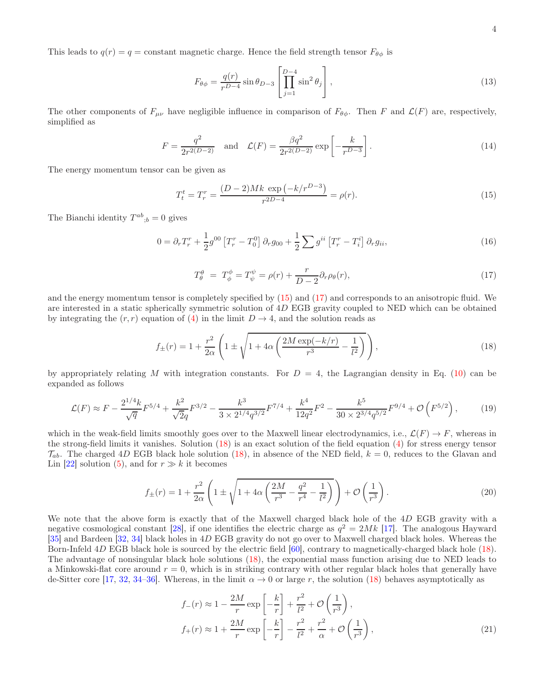This leads to  $q(r) = q = \text{constant magnetic charge}$ . Hence the field strength tensor  $F_{\theta\phi}$  is

$$
F_{\theta\phi} = \frac{q(r)}{r^{D-4}} \sin \theta_{D-3} \left[ \prod_{j=1}^{D-4} \sin^2 \theta_j \right],\tag{13}
$$

The other components of  $F_{\mu\nu}$  have negligible influence in comparison of  $F_{\theta\phi}$ . Then F and  $\mathcal{L}(F)$  are, respectively, simplified as

<span id="page-3-4"></span>
$$
F = \frac{q^2}{2r^{2(D-2)}} \quad \text{and} \quad \mathcal{L}(F) = \frac{\beta q^2}{2r^{2(D-2)}} \exp\left[-\frac{k}{r^{D-3}}\right].
$$
 (14)

The energy momentum tensor can be given as

<span id="page-3-0"></span>
$$
T_t^t = T_r^r = \frac{(D-2)Mk \exp(-k/r^{D-3})}{r^{2D-4}} = \rho(r). \tag{15}
$$

The Bianchi identity  $T^{ab}{}_{;b} = 0$  gives

$$
0 = \partial_r T_r^r + \frac{1}{2} g^{00} \left[ T_r^r - T_0^0 \right] \partial_r g_{00} + \frac{1}{2} \sum g^{ii} \left[ T_r^r - T_i^i \right] \partial_r g_{ii}, \tag{16}
$$

<span id="page-3-1"></span>
$$
T^{\theta}_{\theta} = T^{\phi}_{\phi} = T^{\psi}_{\psi} = \rho(r) + \frac{r}{D-2} \partial_r \rho_{\theta}(r), \qquad (17)
$$

and the energy momentum tensor is completely specified by [\(15\)](#page-3-0) and [\(17\)](#page-3-1) and corresponds to an anisotropic fluid. We are interested in a static spherically symmetric solution of 4D EGB gravity coupled to NED which can be obtained by integrating the  $(r, r)$  equation of [\(4\)](#page-2-1) in the limit  $D \rightarrow 4$ , and the solution reads as

<span id="page-3-2"></span>
$$
f_{\pm}(r) = 1 + \frac{r^2}{2\alpha} \left( 1 \pm \sqrt{1 + 4\alpha \left( \frac{2M \exp(-k/r)}{r^3} - \frac{1}{l^2} \right)} \right),
$$
 (18)

by appropriately relating M with integration constants. For  $D = 4$ , the Lagrangian density in Eq. [\(10\)](#page-2-2) can be expanded as follows

$$
\mathcal{L}(F) \approx F - \frac{2^{1/4}k}{\sqrt{q}} F^{5/4} + \frac{k^2}{\sqrt{2}q} F^{3/2} - \frac{k^3}{3 \times 2^{1/4}q^{3/2}} F^{7/4} + \frac{k^4}{12q^2} F^2 - \frac{k^5}{30 \times 2^{3/4}q^{5/2}} F^{9/4} + \mathcal{O}\left(F^{5/2}\right),\tag{19}
$$

which in the weak-field limits smoothly goes over to the Maxwell linear electrodynamics, i.e.,  $\mathcal{L}(F) \to F$ , whereas in the strong-field limits it vanishes. Solution [\(18\)](#page-3-2) is an exact solution of the field equation [\(4\)](#page-2-1) for stress energy tensor  $\mathcal{T}_{ab}$ . The charged 4D EGB black hole solution [\(18\)](#page-3-2), in absence of the NED field,  $k = 0$ , reduces to the Glavan and Lin [\[22\]](#page-14-13) solution [\(5\)](#page-2-1), and for  $r \gg k$  it becomes

$$
f_{\pm}(r) = 1 + \frac{r^2}{2\alpha} \left( 1 \pm \sqrt{1 + 4\alpha \left( \frac{2M}{r^3} - \frac{q^2}{r^4} - \frac{1}{l^2} \right)} \right) + \mathcal{O}\left(\frac{1}{r^3}\right). \tag{20}
$$

We note that the above form is exactly that of the Maxwell charged black hole of the 4D EGB gravity with a negative cosmological constant [\[28](#page-14-19)], if one identifies the electric charge as  $q^2 = 2Mk$  [\[17\]](#page-14-8). The analogous Hayward [\[35\]](#page-14-24) and Bardeen [\[32](#page-14-23), [34\]](#page-14-35) black holes in 4D EGB gravity do not go over to Maxwell charged black holes. Whereas the Born-Infeld 4D EGB black hole is sourced by the electric field [\[60\]](#page-15-7), contrary to magnetically-charged black hole [\(18\)](#page-3-2). The advantage of nonsingular black hole solutions [\(18\)](#page-3-2), the exponential mass function arising due to NED leads to a Minkowski-flat core around  $r = 0$ , which is in striking contrary with other regular black holes that generally have de-Sitter core [\[17,](#page-14-8) [32,](#page-14-23) [34](#page-14-35)[–36\]](#page-14-38). Whereas, in the limit  $\alpha \to 0$  or large r, the solution [\(18\)](#page-3-2) behaves asymptotically as

<span id="page-3-3"></span>
$$
f_{-}(r) \approx 1 - \frac{2M}{r} \exp\left[-\frac{k}{r}\right] + \frac{r^2}{l^2} + \mathcal{O}\left(\frac{1}{r^3}\right),
$$
  

$$
f_{+}(r) \approx 1 + \frac{2M}{r} \exp\left[-\frac{k}{r}\right] - \frac{r^2}{l^2} + \frac{r^2}{\alpha} + \mathcal{O}\left(\frac{1}{r^3}\right),
$$
 (21)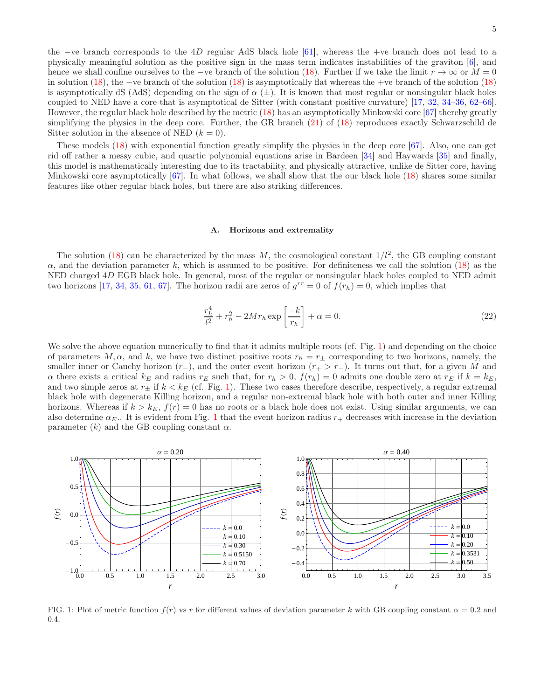the −ve branch corresponds to the 4D regular AdS black hole [\[61\]](#page-15-8), whereas the +ve branch does not lead to a physically meaningful solution as the positive sign in the mass term indicates instabilities of the graviton [\[6](#page-14-2)], and hence we shall confine ourselves to the −ve branch of the solution [\(18\)](#page-3-2). Further if we take the limit  $r \to \infty$  or  $M = 0$ in solution [\(18\)](#page-3-2), the −ve branch of the solution [\(18\)](#page-3-2) is asymptotically flat whereas the +ve branch of the solution [\(18\)](#page-3-2) is asymptotically dS (AdS) depending on the sign of  $\alpha$  ( $\pm$ ). It is known that most regular or nonsingular black holes coupled to NED have a core that is asymptotical de Sitter (with constant positive curvature) [\[17](#page-14-8), [32,](#page-14-23) [34–](#page-14-35)[36,](#page-14-38) [62](#page-15-9)[–66\]](#page-15-10). However, the regular black hole described by the metric [\(18\)](#page-3-2) has an asymptotically Minkowski core [\[67\]](#page-15-11) thereby greatly simplifying the physics in the deep core. Further, the GR branch [\(21\)](#page-3-3) of [\(18\)](#page-3-2) reproduces exactly Schwarzschild de Sitter solution in the absence of NED  $(k = 0)$ .

These models [\(18\)](#page-3-2) with exponential function greatly simplify the physics in the deep core [\[67](#page-15-11)]. Also, one can get rid off rather a messy cubic, and quartic polynomial equations arise in Bardeen [\[34\]](#page-14-35) and Haywards [\[35](#page-14-24)] and finally, this model is mathematically interesting due to its tractability, and physically attractive, unlike de Sitter core, having Minkowski core asymptotically  $[67]$ . In what follows, we shall show that the our black hole  $(18)$  shares some similar features like other regular black holes, but there are also striking differences.

#### A. Horizons and extremality

The solution [\(18\)](#page-3-2) can be characterized by the mass M, the cosmological constant  $1/l^2$ , the GB coupling constant  $\alpha$ , and the deviation parameter k, which is assumed to be positive. For definiteness we call the solution [\(18\)](#page-3-2) as the NED charged 4D EGB black hole. In general, most of the regular or nonsingular black holes coupled to NED admit two horizons [\[17,](#page-14-8) [34](#page-14-35), [35,](#page-14-24) [61](#page-15-8), [67](#page-15-11)]. The horizon radii are zeros of  $g^{rr} = 0$  of  $f(r_h) = 0$ , which implies that

$$
\frac{r_h^4}{l^2} + r_h^2 - 2Mr_h \exp\left[\frac{-k}{r_h}\right] + \alpha = 0.
$$
\n
$$
(22)
$$

We solve the above equation numerically to find that it admits multiple roots (cf. Fig. [1\)](#page-4-0) and depending on the choice of parameters  $M, \alpha$ , and k, we have two distinct positive roots  $r_h = r_{\pm}$  corresponding to two horizons, namely, the smaller inner or Cauchy horizon  $(r_{-})$ , and the outer event horizon  $(r_{+} > r_{-})$ . It turns out that, for a given M and  $\alpha$  there exists a critical  $k_E$  and radius  $r_E$  such that, for  $r_h > 0$ ,  $f(r_h) = 0$  admits one double zero at  $r_E$  if  $k = k_E$ , and two simple zeros at  $r_{\pm}$  if  $k < k_E$  (cf. Fig. [1\)](#page-4-0). These two cases therefore describe, respectively, a regular extremal black hole with degenerate Killing horizon, and a regular non-extremal black hole with both outer and inner Killing horizons. Whereas if  $k > k_E$ ,  $f(r) = 0$  has no roots or a black hole does not exist. Using similar arguments, we can also determine  $\alpha_E$ . It is evident from Fig. [1](#page-4-0) that the event horizon radius  $r_+$  decreases with increase in the deviation parameter  $(k)$  and the GB coupling constant  $\alpha$ .



<span id="page-4-0"></span>FIG. 1: Plot of metric function  $f(r)$  vs r for different values of deviation parameter k with GB coupling constant  $\alpha = 0.2$  and 0.4.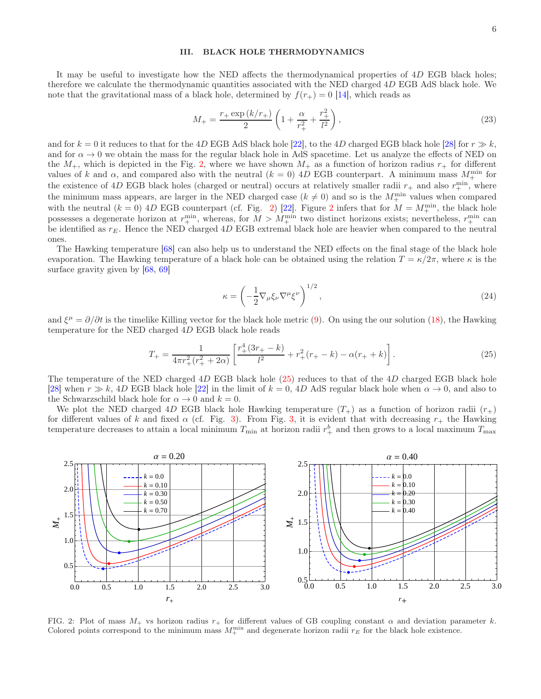# <span id="page-5-0"></span>III. BLACK HOLE THERMODYNAMICS

It may be useful to investigate how the NED affects the thermodynamical properties of 4D EGB black holes; therefore we calculate the thermodynamic quantities associated with the NED charged 4D EGB AdS black hole. We note that the gravitational mass of a black hole, determined by  $f(r_{+}) = 0$  [\[14\]](#page-14-37), which reads as

<span id="page-5-3"></span>
$$
M_{+} = \frac{r_{+} \exp\left(k/r_{+}\right)}{2} \left(1 + \frac{\alpha}{r_{+}^{2}} + \frac{r_{+}^{2}}{l^{2}}\right),\tag{23}
$$

and for  $k = 0$  it reduces to that for the 4D EGB AdS black hole [\[22\]](#page-14-13), to the 4D charged EGB black hole [\[28\]](#page-14-19) for  $r \gg k$ , and for  $\alpha \to 0$  we obtain the mass for the regular black hole in AdS spacetime. Let us analyze the effects of NED on the  $M_+$ , which is depicted in the Fig. [2,](#page-5-1) where we have shown  $M_+$  as a function of horizon radius  $r_+$  for different values of k and  $\alpha$ , and compared also with the neutral  $(k = 0)$  4D EGB counterpart. A minimum mass  $M_{+}^{\min}$  for the existence of 4D EGB black holes (charged or neutral) occurs at relatively smaller radii  $r_+$  and also  $r_+^{\text{min}}$ , where the minimum mass appears, are larger in the NED charged case ( $k \neq 0$ ) and so is the  $M_{+}^{\min}$  values when compared with the neutral  $(k = 0)$  4D EGB counterpart (cf. Fig. [2\)](#page-5-1) [\[22\]](#page-14-13). Figure [2](#page-5-1) infers that for  $M = M_{+}^{\min}$ , the black hole possesses a degenerate horizon at  $r_+^{\text{min}}$ , whereas, for  $M > M_+^{\text{min}}$  two distinct horizons exists; nevertheless,  $r_+^{\text{min}}$  can be identified as  $r_E$ . Hence the NED charged 4D EGB extremal black hole are heavier when compared to the neutral ones.

The Hawking temperature [\[68](#page-15-12)] can also help us to understand the NED effects on the final stage of the black hole evaporation. The Hawking temperature of a black hole can be obtained using the relation  $T = \kappa/2\pi$ , where  $\kappa$  is the surface gravity given by [\[68,](#page-15-12) [69\]](#page-15-13)

$$
\kappa = \left(-\frac{1}{2}\nabla_{\mu}\xi_{\nu}\nabla^{\mu}\xi^{\nu}\right)^{1/2},\tag{24}
$$

and  $\xi^{\mu} = \partial/\partial t$  is the timelike Killing vector for the black hole metric [\(9\)](#page-2-3). On using the our solution [\(18\)](#page-3-2), the Hawking temperature for the NED charged 4D EGB black hole reads

<span id="page-5-2"></span>
$$
T_{+} = \frac{1}{4\pi r_{+}^{2}(r_{+}^{2} + 2\alpha)} \left[ \frac{r_{+}^{4}(3r_{+} - k)}{l^{2}} + r_{+}^{2}(r_{+} - k) - \alpha(r_{+} + k) \right].
$$
 (25)

The temperature of the NED charged 4D EGB black hole [\(25\)](#page-5-2) reduces to that of the 4D charged EGB black hole [\[28\]](#page-14-19) when  $r \gg k$ , 4D EGB black hole [\[22\]](#page-14-13) in the limit of  $k = 0$ , 4D AdS regular black hole when  $\alpha \to 0$ , and also to the Schwarzschild black hole for  $\alpha \to 0$  and  $k = 0$ .

We plot the NED charged 4D EGB black hole Hawking temperature  $(T_+)$  as a function of horizon radii  $(r_+)$ for different values of k and fixed  $\alpha$  (cf. Fig. [3\)](#page-6-0). From Fig. [3,](#page-6-0) it is evident that with decreasing  $r_+$  the Hawking temperature decreases to attain a local minimum  $T_{\min}$  at horizon radii  $r_+^b$  and then grows to a local maximum  $T_{\max}$ 



<span id="page-5-1"></span>FIG. 2: Plot of mass  $M_+$  vs horizon radius  $r_+$  for different values of GB coupling constant  $\alpha$  and deviation parameter k. Colored points correspond to the minimum mass  $M_+^{\text{min}}$  and degenerate horizon radii  $r_E$  for the black hole existence.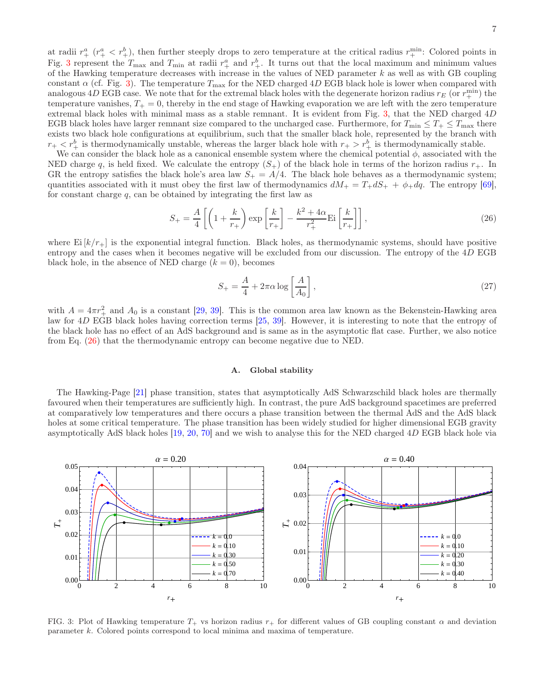at radii  $r^a_+$  ( $r^a_+$  <  $r^b_+$ ), then further steeply drops to zero temperature at the critical radius  $r^{min}_{+}$ . Colored points in Fig. [3](#page-6-0) represent the  $T_{\text{max}}$  and  $T_{\text{min}}$  at radii  $r_+^a$  and  $r_+^b$ . It turns out that the local maximum and minimum values of the Hawking temperature decreases with increase in the values of NED parameter  $k$  as well as with GB coupling constant  $\alpha$  (cf. Fig. [3\)](#page-6-0). The temperature  $T_{\text{max}}$  for the NED charged 4D EGB black hole is lower when compared with analogous  $4D$  EGB case. We note that for the extremal black holes with the degenerate horizon radius  $r_E$  (or  $r_+^{\text{min}}$ ) the temperature vanishes,  $T_{+} = 0$ , thereby in the end stage of Hawking evaporation we are left with the zero temperature extremal black holes with minimal mass as a stable remnant. It is evident from Fig. [3,](#page-6-0) that the NED charged 4D EGB black holes have larger remnant size compared to the uncharged case. Furthermore, for  $T_{\min} \leq T_{+} \leq T_{\max}$  there exists two black hole configurations at equilibrium, such that the smaller black hole, represented by the branch with  $r_+ < r_+^b$  is thermodynamically unstable, whereas the larger black hole with  $r_+ > r_+^b$  is thermodynamically stable.

We can consider the black hole as a canonical ensemble system where the chemical potential  $\phi$ , associated with the NED charge q, is held fixed. We calculate the entropy  $(S_+)$  of the black hole in terms of the horizon radius  $r_+$ . In GR the entropy satisfies the black hole's area law  $S_+ = A/4$ . The black hole behaves as a thermodynamic system; quantities associated with it must obey the first law of thermodynamics  $dM_{+} = T_{+} dS_{+} + \phi_{+} dq$ . The entropy [\[69\]](#page-15-13), for constant charge  $q$ , can be obtained by integrating the first law as

<span id="page-6-1"></span>
$$
S_{+} = \frac{A}{4} \left[ \left( 1 + \frac{k}{r_{+}} \right) \exp\left[ \frac{k}{r_{+}} \right] - \frac{k^{2} + 4\alpha}{r_{+}^{2}} \mathrm{Ei}\left[ \frac{k}{r_{+}} \right] \right],\tag{26}
$$

where  $\mathrm{Ei}\left[k/r_{+}\right]$  is the exponential integral function. Black holes, as thermodynamic systems, should have positive entropy and the cases when it becomes negative will be excluded from our discussion. The entropy of the 4D EGB black hole, in the absence of NED charge  $(k = 0)$ , becomes

$$
S_{+} = \frac{A}{4} + 2\pi\alpha \log\left[\frac{A}{A_0}\right],\tag{27}
$$

with  $A = 4\pi r_+^2$  and  $A_0$  is a constant [\[29,](#page-14-20) [39](#page-14-27)]. This is the common area law known as the Bekenstein-Hawking area law for 4D EGB black holes having correction terms [\[25](#page-14-16), [39\]](#page-14-27). However, it is interesting to note that the entropy of the black hole has no effect of an AdS background and is same as in the asymptotic flat case. Further, we also notice from Eq. [\(26\)](#page-6-1) that the thermodynamic entropy can become negative due to NED.

### A. Global stability

The Hawking-Page [\[21\]](#page-14-12) phase transition, states that asymptotically AdS Schwarzschild black holes are thermally favoured when their temperatures are sufficiently high. In contrast, the pure AdS background spacetimes are preferred at comparatively low temperatures and there occurs a phase transition between the thermal AdS and the AdS black holes at some critical temperature. The phase transition has been widely studied for higher dimensional EGB gravity asymptotically AdS black holes [\[19,](#page-14-10) [20,](#page-14-11) [70\]](#page-15-14) and we wish to analyse this for the NED charged 4D EGB black hole via



<span id="page-6-0"></span>FIG. 3: Plot of Hawking temperature  $T_+$  vs horizon radius  $r_+$  for different values of GB coupling constant  $\alpha$  and deviation parameter k. Colored points correspond to local minima and maxima of temperature.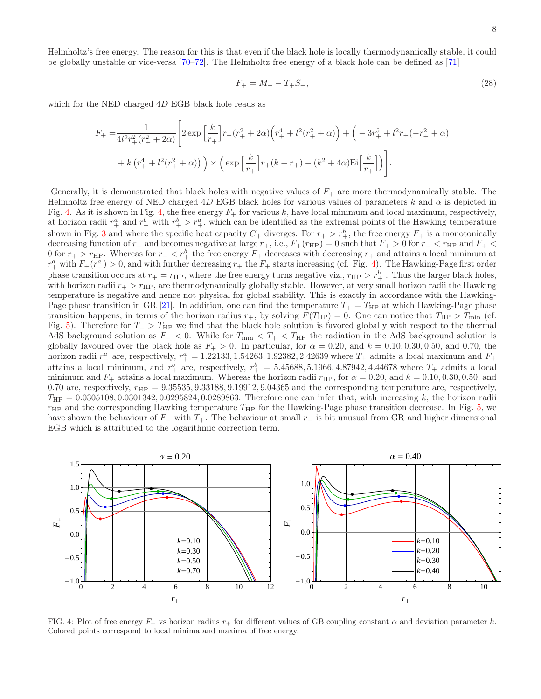Helmholtz's free energy. The reason for this is that even if the black hole is locally thermodynamically stable, it could be globally unstable or vice-versa [\[70](#page-15-14)[–72\]](#page-15-15). The Helmholtz free energy of a black hole can be defined as [\[71\]](#page-15-16)

$$
F_{+} = M_{+} - T_{+}S_{+},\tag{28}
$$

which for the NED charged 4D EGB black hole reads as

$$
F_{+} = \frac{1}{4l^{2}r_{+}^{2}(r_{+}^{2} + 2\alpha)} \left[ 2 \exp\left[\frac{k}{r_{+}}\right]r_{+}(r_{+}^{2} + 2\alpha)\left(r_{+}^{4} + l^{2}(r_{+}^{2} + \alpha)\right) + \left(-3r_{+}^{5} + l^{2}r_{+}(-r_{+}^{2} + \alpha)\right) \right] + k\left(r_{+}^{4} + l^{2}(r_{+}^{2} + \alpha)\right) \times \left(\exp\left[\frac{k}{r_{+}}\right]r_{+}(k + r_{+}) - (k^{2} + 4\alpha)\mathrm{Ei}\left[\frac{k}{r_{+}}\right]\right) \right].
$$

Generally, it is demonstrated that black holes with negative values of  $F_+$  are more thermodynamically stable. The Helmholtz free energy of NED charged 4D EGB black holes for various values of parameters k and  $\alpha$  is depicted in Fig. [4.](#page-7-0) As it is shown in Fig. [4,](#page-7-0) the free energy  $F_{+}$  for various k, have local minimum and local maximum, respectively, at horizon radii  $r_+^a$  and  $r_+^b$  with  $r_+^b > r_+^a$ , which can be identified as the extremal points of the Hawking temperature shown in Fig. [3](#page-6-0) and where the specific heat capacity  $C_+$  diverges. For  $r_+ > r_+^b$ , the free energy  $F_+$  is a monotonically decreasing function of  $r_+$  and becomes negative at large  $r_+$ , i.e.,  $F_+(r_{HP}) = 0$  such that  $F_+ > 0$  for  $r_+ < r_{HP}$  and  $F_+ <$ 0 for  $r_+ > r_{\text{HP}}$ . Whereas for  $r_+ < r_+^b$  the free energy  $F_+$  decreases with decreasing  $r_+$  and attains a local minimum at  $r_+^a$  with  $F_+(r_+^a) > 0$ , and with further decreasing  $r_+$  the  $F_+$  starts increasing (cf. Fig. [4\)](#page-7-0). The Hawking-Page first order phase transition occurs at  $r_+ = r_{HP}$ , where the free energy turns negative viz.,  $r_{HP} > r_+^b$ . Thus the larger black holes, with horizon radii  $r_{+} > r_{\text{HP}}$ , are thermodynamically globally stable. However, at very small horizon radii the Hawking temperature is negative and hence not physical for global stability. This is exactly in accordance with the Hawking-Page phase transition in GR [\[21\]](#page-14-12). In addition, one can find the temperature  $T_+ = T_{\rm HP}$  at which Hawking-Page phase transition happens, in terms of the horizon radius  $r_+$ , by solving  $F(T_{HP}) = 0$ . One can notice that  $T_{HP} > T_{min}$  (cf. Fig. [5\)](#page-8-0). Therefore for  $T_+ > T_{\rm HP}$  we find that the black hole solution is favored globally with respect to the thermal AdS background solution as  $F_+ < 0$ . While for  $T_{\min} < T_+ < T_{HP}$  the radiation in the AdS background solution is globally favoured over the black hole as  $F_{+} > 0$ . In particular, for  $\alpha = 0.20$ , and  $k = 0.10, 0.30, 0.50$ , and 0.70, the horizon radii  $r_+^a$  are, respectively,  $r_+^a = 1.22133, 1.54263, 1.92382, 2.42639$  where  $T_+$  admits a local maximum and  $F_+$ attains a local minimum, and  $r_+^b$  are, respectively,  $r_+^b = 5.45688, 5.1966, 4.87942, 4.44678$  where  $T_+$  admits a local minimum and  $F_+$  attains a local maximum. Whereas the horizon radii  $r_{HP}$ , for  $\alpha = 0.20$ , and  $k = 0.10, 0.30, 0.50$ , and 0.70 are, respectively,  $r_{HP} = 9.35535, 9.33188, 9.19912, 9.04365$  and the corresponding temperature are, respectively,  $T_{\rm HP} = 0.0305108, 0.0301342, 0.0295824, 0.0289863$ . Therefore one can infer that, with increasing k, the horizon radii  $r_{\text{HP}}$  and the corresponding Hawking temperature  $T_{\text{HP}}$  for the Hawking-Page phase transition decrease. In Fig. [5,](#page-8-0) we have shown the behaviour of  $F_+$  with  $T_+$ . The behaviour at small  $r_+$  is bit unusual from GR and higher dimensional EGB which is attributed to the logarithmic correction term.



<span id="page-7-0"></span>FIG. 4: Plot of free energy  $F_+$  vs horizon radius  $r_+$  for different values of GB coupling constant  $\alpha$  and deviation parameter k. Colored points correspond to local minima and maxima of free energy.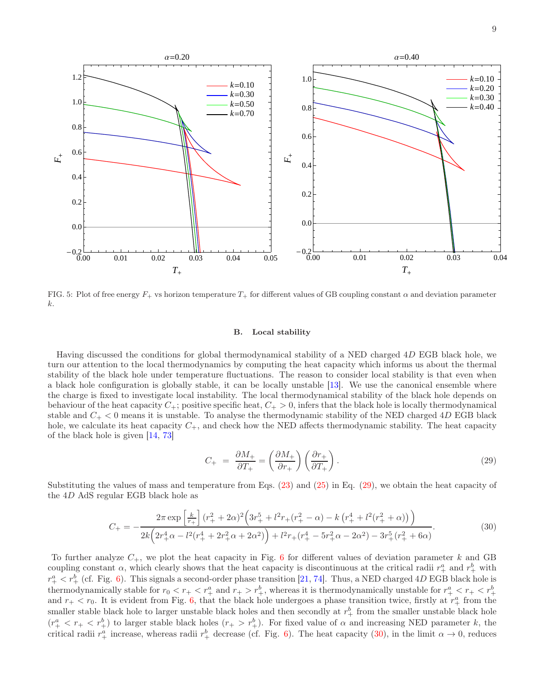

<span id="page-8-0"></span>FIG. 5: Plot of free energy  $F_+$  vs horizon temperature  $T_+$  for different values of GB coupling constant  $\alpha$  and deviation parameter k.

#### B. Local stability

Having discussed the conditions for global thermodynamical stability of a NED charged 4D EGB black hole, we turn our attention to the local thermodynamics by computing the heat capacity which informs us about the thermal stability of the black hole under temperature fluctuations. The reason to consider local stability is that even when a black hole configuration is globally stable, it can be locally unstable [\[13](#page-14-39)]. We use the canonical ensemble where the charge is fixed to investigate local instability. The local thermodynamical stability of the black hole depends on behaviour of the heat capacity  $C_+$ ; positive specific heat,  $C_+ > 0$ , infers that the black hole is locally thermodynamical stable and  $C_+ < 0$  means it is unstable. To analyse the thermodynamic stability of the NED charged 4D EGB black hole, we calculate its heat capacity  $C_+$ , and check how the NED affects thermodynamic stability. The heat capacity of the black hole is given [\[14](#page-14-37), [73](#page-15-17)]

<span id="page-8-1"></span>
$$
C_{+} = \frac{\partial M_{+}}{\partial T_{+}} = \left(\frac{\partial M_{+}}{\partial r_{+}}\right) \left(\frac{\partial r_{+}}{\partial T_{+}}\right). \tag{29}
$$

Substituting the values of mass and temperature from Eqs. [\(23\)](#page-5-3) and [\(25\)](#page-5-2) in Eq. [\(29\)](#page-8-1), we obtain the heat capacity of the 4D AdS regular EGB black hole as

<span id="page-8-2"></span>
$$
C_{+} = -\frac{2\pi \exp\left[\frac{k}{r_{+}}\right](r_{+}^{2} + 2\alpha)^{2}\left(3r_{+}^{5} + l^{2}r_{+}(r_{+}^{2} - \alpha) - k\left(r_{+}^{4} + l^{2}(r_{+}^{2} + \alpha)\right)\right)}{2k\left(2r_{+}^{4}\alpha - l^{2}(r_{+}^{4} + 2r_{+}^{2}\alpha + 2\alpha^{2})\right) + l^{2}r_{+}(r_{+}^{4} - 5r_{+}^{2}\alpha - 2\alpha^{2}) - 3r_{+}^{5}(r_{+}^{2} + 6\alpha)}.
$$
\n(30)

To further analyze  $C_+$ , we plot the heat capacity in Fig. [6](#page-9-0) for different values of deviation parameter k and GB coupling constant  $\alpha$ , which clearly shows that the heat capacity is discontinuous at the critical radii  $r_+^a$  and  $r_+^b$  with  $r_{+}^{a} < r_{+}^{b}$  (cf. Fig. [6\)](#page-9-0). This signals a second-order phase transition [\[21,](#page-14-12) [74\]](#page-15-18). Thus, a NED charged 4D EGB black hole is thermodynamically stable for  $r_0 < r_+ < r_+^a$  and  $r_+ > r_+^b$ , whereas it is thermodynamically unstable for  $r_+^a < r_+ < r_+^b$ <br>and  $r_+ < r_0$ . It is evident from Fig. [6,](#page-9-0) that the black hole undergoes a phase transition twice smaller stable black hole to larger unstable black holes and then secondly at  $r_+^b$  from the smaller unstable black hole  $(r^a_+ < r_+ < r^b_+)$  to larger stable black holes  $(r_+ > r^b_+)$ . For fixed value of  $\alpha$  and increasing NED parameter k, the critical radii  $r_+^a$  increase, whereas radii  $r_+^b$  decrease (cf. Fig. [6\)](#page-9-0). The heat capacity [\(30\)](#page-8-2), in the limit  $\alpha \to 0$ , reduces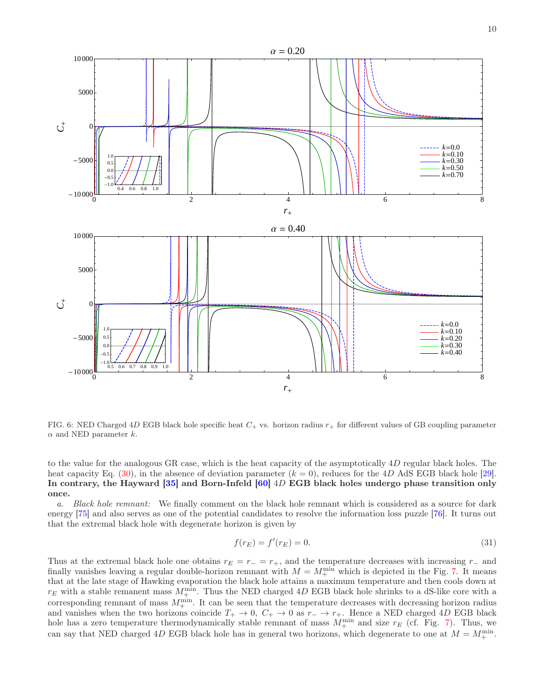

<span id="page-9-0"></span>FIG. 6: NED Charged 4D EGB black hole specific heat  $C_+$  vs. horizon radius  $r_+$  for different values of GB coupling parameter  $\alpha$  and NED parameter k.

to the value for the analogous GR case, which is the heat capacity of the asymptotically 4D regular black holes. The heat capacity Eq. [\(30\)](#page-8-2), in the absence of deviation parameter  $(k = 0)$ , reduces for the 4D AdS EGB black hole [\[29\]](#page-14-20). In contrary, the Hayward [\[35\]](#page-14-24) and Born-Infeld [\[60](#page-15-7)] 4D EGB black holes undergo phase transition only once.

*a. Black hole remnant:* We finally comment on the black hole remnant which is considered as a source for dark energy [\[75\]](#page-15-19) and also serves as one of the potential candidates to resolve the information loss puzzle [\[76\]](#page-15-20). It turns out that the extremal black hole with degenerate horizon is given by

$$
f(r_E) = f'(r_E) = 0.
$$
\n(31)

Thus at the extremal black hole one obtains  $r_E = r_ - = r_ +$ , and the temperature decreases with increasing r<sub>−</sub> and finally vanishes leaving a regular double-horizon remnant with  $M = M_{+}^{\min}$  which is depicted in the Fig. [7.](#page-10-0) It means that at the late stage of Hawking evaporation the black hole attains a maximum temperature and then cools down at  $r_E$  with a stable remanent mass  $M^{\min}_+$ . Thus the NED charged 4D EGB black hole shrinks to a dS-like core with a corresponding remnant of mass  $M_{+}^{\min}$ . It can be seen that the temperature decreases with decreasing horizon radius and vanishes when the two horizons coincide  $T_+ \to 0$ ,  $C_+ \to 0$  as  $r_- \to r_+$ . Hence a NED charged 4D EGB black hole has a zero temperature thermodynamically stable remnant of mass  $M_{+}^{\text{min}}$  and size  $r_E$  (cf. Fig. [7\)](#page-10-0). Thus, we can say that NED charged 4D EGB black hole has in general two horizons, which degenerate to one at  $M = M_{+}^{\text{min}}$ .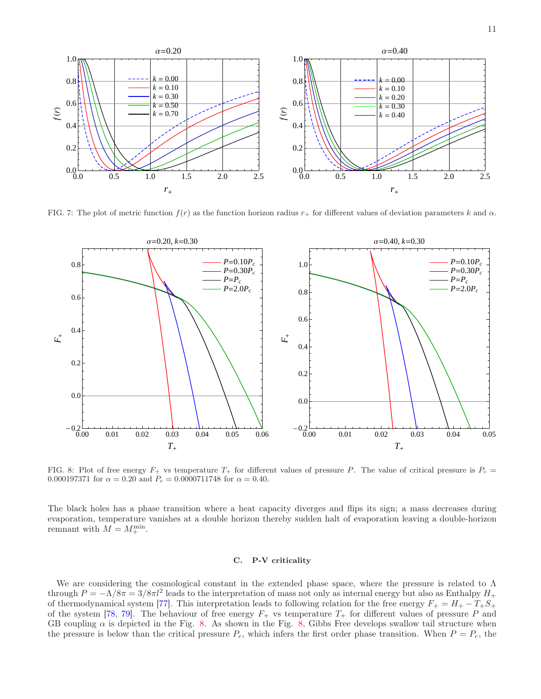

<span id="page-10-0"></span>FIG. 7: The plot of metric function  $f(r)$  as the function horizon radius  $r_{+}$  for different values of deviation parameters k and  $\alpha$ .



<span id="page-10-1"></span>FIG. 8: Plot of free energy  $F_+$  vs temperature  $T_+$  for different values of pressure P. The value of critical pressure is  $P_c =$ 0.000197371 for  $\alpha = 0.20$  and  $P_c = 0.0000711748$  for  $\alpha = 0.40$ .

The black holes has a phase transition where a heat capacity diverges and flips its sign; a mass decreases during evaporation, temperature vanishes at a double horizon thereby sudden halt of evaporation leaving a double-horizon remnant with  $M = M_{+}^{\min}$ .

# C. P-V criticality

We are considering the cosmological constant in the extended phase space, where the pressure is related to  $\Lambda$ through  $P = -\Lambda/8\pi = 3/8\pi l^2$  leads to the interpretation of mass not only as internal energy but also as Enthalpy  $H_+$ of thermodynamical system [\[77\]](#page-15-21). This interpretation leads to following relation for the free energy  $F_+ = H_+ - T_+S_+$ of the system [\[78,](#page-15-22) [79](#page-15-23)]. The behaviour of free energy  $F_+$  vs temperature  $T_+$  for different values of pressure P and GB coupling  $\alpha$  is depicted in the Fig. [8.](#page-10-1) As shown in the Fig. [8,](#page-10-1) Gibbs Free develops swallow tail structure when the pressure is below than the critical pressure  $P_c$ , which infers the first order phase transition. When  $P = P_c$ , the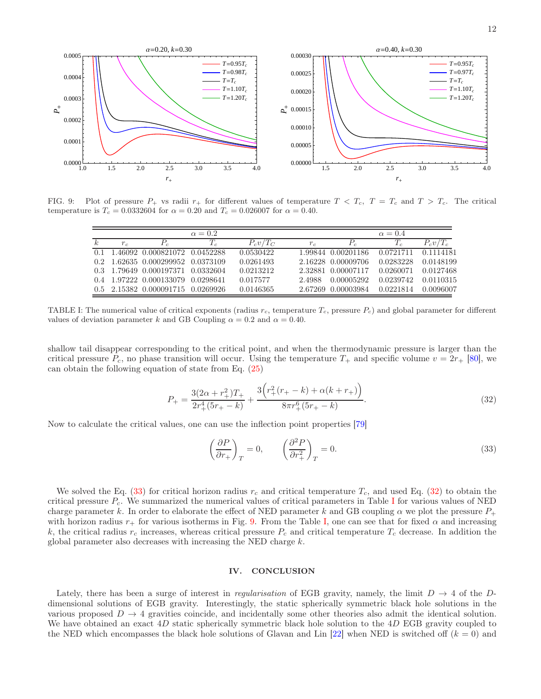

FIG. 9: Plot of pressure  $P_+$  vs radii  $r_+$  for different values of temperature  $T < T_c$ ,  $T = T_c$  and  $T > T_c$ . The critical temperature is  $T_c = 0.0332604$  for  $\alpha = 0.20$  and  $T_c = 0.026007$  for  $\alpha = 0.40$ .

<span id="page-11-4"></span>

|    |         |                                   | $\alpha = 0.2$ |             |        |                    | $\alpha = 0.4$ |             |
|----|---------|-----------------------------------|----------------|-------------|--------|--------------------|----------------|-------------|
| k. | $r_{c}$ |                                   |                | $P_c v/T_C$ | $r_c$  | $P_c$              |                | $P_c v/T_c$ |
|    |         | 0.1 1.46092 0.000821072 0.0452288 |                | 0.0530422   |        | 1.99844 0.00201186 | 0.0721711      | 0.1114181   |
|    |         | 0.2 1.62635 0.000299952 0.0373109 |                | 0.0261493   |        | 2.16228 0.00009706 | 0.0283228      | 0.0148199   |
|    |         | 0.3 1.79649 0.000197371 0.0332604 |                | 0.0213212   |        | 2.32881 0.00007117 | 0.0260071      | 0.0127468   |
|    |         | 0.4 1.97222 0.000133079 0.0298641 |                | 0.017577    | 2.4988 | 0.00005292         | 0.0239742      | 0.0110315   |
|    |         | 0.5 2.15382 0.000091715 0.0269926 |                | 0.0146365   |        | 2.67269 0.00003984 | 0.0221814      | 0.0096007   |

<span id="page-11-3"></span>TABLE I: The numerical value of critical exponents (radius  $r_c$ , temperature  $T_c$ , pressure  $P_c$ ) and global parameter for different values of deviation parameter k and GB Coupling  $\alpha = 0.2$  and  $\alpha = 0.40$ .

shallow tail disappear corresponding to the critical point, and when the thermodynamic pressure is larger than the critical pressure  $P_c$ , no phase transition will occur. Using the temperature  $T_+$  and specific volume  $v = 2r_+$  [\[80\]](#page-15-24), we can obtain the following equation of state from Eq. [\(25\)](#page-5-2)

<span id="page-11-2"></span>
$$
P_{+} = \frac{3(2\alpha + r_{+}^{2})T_{+}}{2r_{+}^{4}(5r_{+} - k)} + \frac{3(r_{+}^{2}(r_{+} - k) + \alpha(k + r_{+}))}{8\pi r_{+}^{6}(5r_{+} - k)}.
$$
\n(32)

Now to calculate the critical values, one can use the inflection point properties [\[79\]](#page-15-23)

<span id="page-11-1"></span>
$$
\left(\frac{\partial P}{\partial r_+}\right)_T = 0, \qquad \left(\frac{\partial^2 P}{\partial r_+^2}\right)_T = 0.
$$
\n(33)

We solved the Eq. [\(33\)](#page-11-1) for critical horizon radius  $r_c$  and critical temperature  $T_c$ , and used Eq. [\(32\)](#page-11-2) to obtain the critical pressure  $P_c$ . We summarized the numerical values of critical parameters in Table [I](#page-11-3) for various values of NED charge parameter k. In order to elaborate the effect of NED parameter k and GB coupling  $\alpha$  we plot the pressure  $P_+$ with horizon radius  $r_+$  for various isotherms in Fig. [9.](#page-11-4) From the Table [I,](#page-11-3) one can see that for fixed  $\alpha$  and increasing k, the critical radius  $r_c$  increases, whereas critical pressure  $P_c$  and critical temperature  $T_c$  decrease. In addition the global parameter also decreases with increasing the NED charge k.

# <span id="page-11-0"></span>IV. CONCLUSION

Lately, there has been a surge of interest in *regularisation* of EGB gravity, namely, the limit  $D \to 4$  of the Ddimensional solutions of EGB gravity. Interestingly, the static spherically symmetric black hole solutions in the various proposed  $D \to 4$  gravities coincide, and incidentally some other theories also admit the identical solution. We have obtained an exact 4D static spherically symmetric black hole solution to the 4D EGB gravity coupled to the NED which encompasses the black hole solutions of Glavan and Lin [\[22\]](#page-14-13) when NED is switched off  $(k = 0)$  and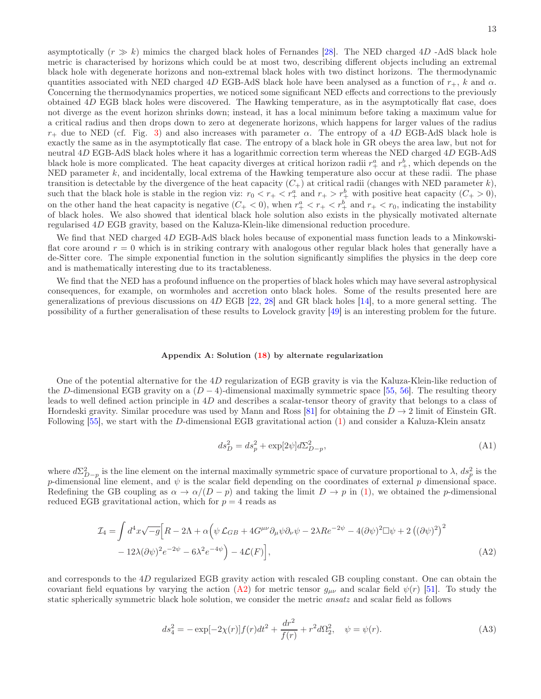asymptotically  $(r \gg k)$  mimics the charged black holes of Fernandes [\[28](#page-14-19)]. The NED charged 4D -AdS black hole metric is characterised by horizons which could be at most two, describing different objects including an extremal black hole with degenerate horizons and non-extremal black holes with two distinct horizons. The thermodynamic quantities associated with NED charged 4D EGB-AdS black hole have been analysed as a function of  $r_+$ , k and  $\alpha$ . Concerning the thermodynamics properties, we noticed some significant NED effects and corrections to the previously obtained 4D EGB black holes were discovered. The Hawking temperature, as in the asymptotically flat case, does not diverge as the event horizon shrinks down; instead, it has a local minimum before taking a maximum value for a critical radius and then drops down to zero at degenerate horizons, which happens for larger values of the radius  $r_{+}$  due to NED (cf. Fig. [3\)](#page-6-0) and also increases with parameter  $\alpha$ . The entropy of a 4D EGB-AdS black hole is exactly the same as in the asymptotically flat case. The entropy of a black hole in GR obeys the area law, but not for neutral 4D EGB-AdS black holes where it has a logarithmic correction term whereas the NED charged 4D EGB-AdS black hole is more complicated. The heat capacity diverges at critical horizon radii  $r_+^a$  and  $r_+^b$ , which depends on the NED parameter  $k$ , and incidentally, local extrema of the Hawking temperature also occur at these radii. The phase transition is detectable by the divergence of the heat capacity  $(C<sub>+</sub>)$  at critical radii (changes with NED parameter k), such that the black hole is stable in the region viz:  $r_0 < r_+ < r_+^a$  and  $r_+ > r_+^b$  with positive heat capacity  $(C_+ > 0)$ , on the other hand the heat capacity is negative  $(C_+ < 0)$ , when  $r_+^a < r_+ < r_+^b$  and  $r_+ < r_0$ , indicating the instability of black holes. We also showed that identical black hole solution also exists in the physically motivated alternate regularised 4D EGB gravity, based on the Kaluza-Klein-like dimensional reduction procedure.

We find that NED charged 4D EGB-AdS black holes because of exponential mass function leads to a Minkowskiflat core around  $r = 0$  which is in striking contrary with analogous other regular black holes that generally have a de-Sitter core. The simple exponential function in the solution significantly simplifies the physics in the deep core and is mathematically interesting due to its tractableness.

We find that the NED has a profound influence on the properties of black holes which may have several astrophysical consequences, for example, on wormholes and accretion onto black holes. Some of the results presented here are generalizations of previous discussions on  $4D$  EGB [\[22](#page-14-13), [28](#page-14-19)] and GR black holes [\[14\]](#page-14-37), to a more general setting. The possibility of a further generalisation of these results to Lovelock gravity [\[49](#page-14-34)] is an interesting problem for the future.

# Appendix A: Solution [\(18\)](#page-3-2) by alternate regularization

One of the potential alternative for the  $4D$  regularization of EGB gravity is via the Kaluza-Klein-like reduction of the D-dimensional EGB gravity on a  $(D-4)$ -dimensional maximally symmetric space [\[55,](#page-15-2) [56\]](#page-15-4). The resulting theory leads to well defined action principle in 4D and describes a scalar-tensor theory of gravity that belongs to a class of Horndeski gravity. Similar procedure was used by Mann and Ross [\[81\]](#page-15-25) for obtaining the  $D \to 2$  limit of Einstein GR. Following [\[55](#page-15-2)], we start with the D-dimensional EGB gravitational action [\(1\)](#page-2-0) and consider a Kaluza-Klein ansatz

<span id="page-12-0"></span>
$$
ds_D^2 = ds_p^2 + \exp[2\psi]d\Sigma_{D-p}^2,\tag{A1}
$$

where  $d\Sigma_{D-p}^2$  is the line element on the internal maximally symmetric space of curvature proportional to  $\lambda$ ,  $ds_p^2$  is the p-dimensional line element, and  $\psi$  is the scalar field depending on the coordinates of external p dimensional space. Redefining the GB coupling as  $\alpha \to \alpha/(D - p)$  and taking the limit  $D \to p$  in [\(1\)](#page-2-0), we obtained the p-dimensional reduced EGB gravitational action, which for  $p = 4$  reads as

$$
\mathcal{I}_4 = \int d^4x \sqrt{-g} \Big[ R - 2\Lambda + \alpha \Big( \psi \mathcal{L}_{GB} + 4G^{\mu\nu} \partial_\mu \psi \partial_\nu \psi - 2\lambda R e^{-2\psi} - 4(\partial \psi)^2 \Box \psi + 2 \left( (\partial \psi)^2 \right)^2 - 12\lambda (\partial \psi)^2 e^{-2\psi} - 6\lambda^2 e^{-4\psi} \Big) - 4\mathcal{L}(F) \Big], \tag{A2}
$$

and corresponds to the 4D regularized EGB gravity action with rescaled GB coupling constant. One can obtain the covariant field equations by varying the action [\(A2\)](#page-12-0) for metric tensor  $g_{\mu\nu}$  and scalar field  $\psi(r)$  [\[51\]](#page-15-1). To study the static spherically symmetric black hole solution, we consider the metric *ansatz* and scalar field as follows

<span id="page-12-1"></span>
$$
ds_4^2 = -\exp[-2\chi(r)]f(r)dt^2 + \frac{dr^2}{f(r)} + r^2d\Omega_2^2, \quad \psi = \psi(r). \tag{A3}
$$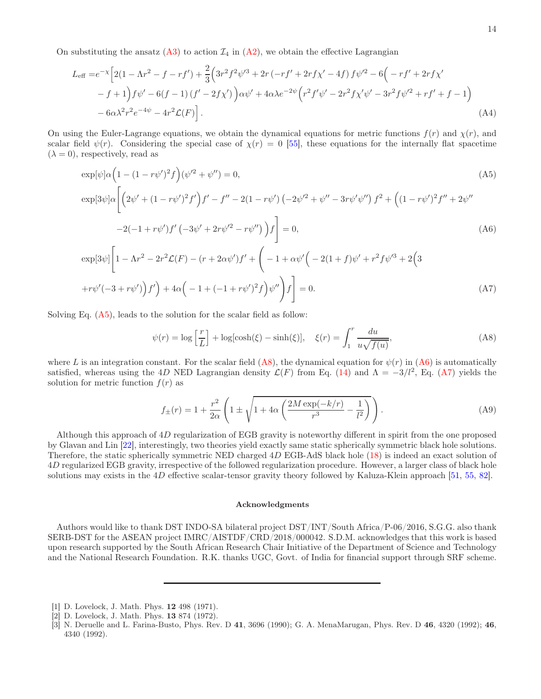On substituting the ansatz [\(A3\)](#page-12-1) to action  $\mathcal{I}_4$  in [\(A2\)](#page-12-0), we obtain the effective Lagrangian

$$
L_{\text{eff}} = e^{-x} \left[ 2(1 - \Lambda r^2 - f - rf') + \frac{2}{3} \left( 3r^2 f^2 \psi'^3 + 2r \left( -rf' + 2rf \chi' - 4f \right) f \psi'^2 - 6 \left( -rf' + 2rf \chi' - f + 1 \right) f \psi' - 6(f - 1) \left( f' - 2f \chi' \right) \right) \alpha \psi' + 4\alpha \lambda e^{-2\psi} \left( r^2 f' \psi' - 2r^2 f \chi' \psi' - 3r^2 f \psi'^2 + rf' + f - 1 \right) - 6\alpha \lambda^2 r^2 e^{-4\psi} - 4r^2 \mathcal{L}(F) \right].
$$
\n(A4)

On using the Euler-Lagrange equations, we obtain the dynamical equations for metric functions  $f(r)$  and  $\chi(r)$ , and scalar field  $\psi(r)$ . Considering the special case of  $\chi(r) = 0$  [\[55](#page-15-2)], these equations for the internally flat spacetime  $(\lambda = 0)$ , respectively, read as

<span id="page-13-3"></span>
$$
\exp[\psi]\alpha\left(1 - (1 - r\psi')^2 f\right)(\psi'^2 + \psi'') = 0,
$$
\n
$$
\exp[3\psi]\alpha\left[\left(2\psi' + (1 - r\psi')^2 f'\right)f' - f'' - 2(1 - r\psi')\left(-2\psi'^2 + \psi'' - 3r\psi'\psi''\right)f^2 + \left((1 - r\psi')^2 f'' + 2\psi''\right)f''\right]\right]
$$
\n(A5)

$$
-2(-1+r\psi')f'(-3\psi'+2r\psi'^2-r\psi'')\bigg)f\bigg]=0,
$$
\n(A6)

$$
\exp[3\psi] \left[ 1 - \Lambda r^2 - 2r^2 \mathcal{L}(F) - (r + 2\alpha \psi') f' + \left( -1 + \alpha \psi' \left( -2(1+f)\psi' + r^2 f \psi'^3 + 2 \left( 3 + r\psi'(-3+r\psi') \right) f' \right) + 4\alpha \left( -1 + (-1+r\psi')^2 f \right) \psi'' \right) f \right] = 0.
$$
\n(A7)

Solving Eq. [\(A5\)](#page-13-3), leads to the solution for the scalar field as follow:

<span id="page-13-4"></span>
$$
\psi(r) = \log\left[\frac{r}{L}\right] + \log\left[\cosh(\xi) - \sinh(\xi)\right], \quad \xi(r) = \int_1^r \frac{du}{u\sqrt{f(u)}},\tag{A8}
$$

where L is an integration constant. For the scalar field  $(As)$ , the dynamical equation for  $\psi(r)$  in  $(As)$  is automatically satisfied, whereas using the 4D NED Lagrangian density  $\mathcal{L}(F)$  from Eq. [\(14\)](#page-3-4) and  $\Lambda = -3/l^2$ , Eq. [\(A7\)](#page-13-3) yields the solution for metric function  $f(r)$  as

$$
f_{\pm}(r) = 1 + \frac{r^2}{2\alpha} \left( 1 \pm \sqrt{1 + 4\alpha \left( \frac{2M \exp(-k/r)}{r^3} - \frac{1}{l^2} \right)} \right). \tag{A9}
$$

Although this approach of 4D regularization of EGB gravity is noteworthy different in spirit from the one proposed by Glavan and Lin [\[22](#page-14-13)], interestingly, two theories yield exactly same static spherically symmetric black hole solutions. Therefore, the static spherically symmetric NED charged 4D EGB-AdS black hole [\(18\)](#page-3-2) is indeed an exact solution of 4D regularized EGB gravity, irrespective of the followed regularization procedure. However, a larger class of black hole solutions may exists in the 4D effective scalar-tensor gravity theory followed by Kaluza-Klein approach [\[51](#page-15-1), [55,](#page-15-2) [82\]](#page-15-26).

## Acknowledgments

Authors would like to thank DST INDO-SA bilateral project DST/INT/South Africa/P-06/2016, S.G.G. also thank SERB-DST for the ASEAN project IMRC/AISTDF/CRD/2018/000042. S.D.M. acknowledges that this work is based upon research supported by the South African Research Chair Initiative of the Department of Science and Technology and the National Research Foundation. R.K. thanks UGC, Govt. of India for financial support through SRF scheme.

<span id="page-13-0"></span><sup>[1]</sup> D. Lovelock, J. Math. Phys. 12 498 (1971).

<span id="page-13-2"></span><sup>[2]</sup> D. Lovelock, J. Math. Phys. 13 874 (1972).

<span id="page-13-1"></span><sup>[3]</sup> N. Deruelle and L. Farina-Busto, Phys. Rev. D 41, 3696 (1990); G. A. MenaMarugan, Phys. Rev. D 46, 4320 (1992); 46, 4340 (1992).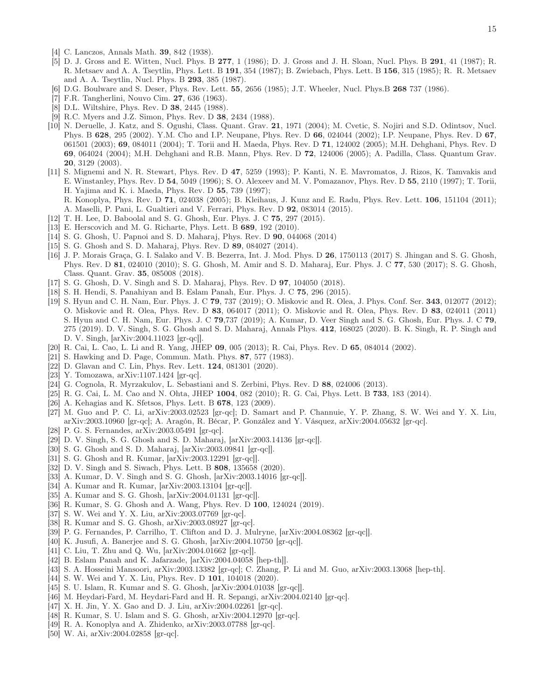- <span id="page-14-0"></span>[4] C. Lanczos, Annals Math. 39, 842 (1938).
- <span id="page-14-1"></span>[5] D. J. Gross and E. Witten, Nucl. Phys. B 277, 1 (1986); D. J. Gross and J. H. Sloan, Nucl. Phys. B 291, 41 (1987); R. R. Metsaev and A. A. Tseytlin, Phys. Lett. B 191, 354 (1987); B. Zwiebach, Phys. Lett. B 156, 315 (1985); R. R. Metsaev and A. A. Tseytlin, Nucl. Phys. B 293, 385 (1987).
- <span id="page-14-2"></span>[6] D.G. Boulware and S. Deser, Phys. Rev. Lett. 55, 2656 (1985); J.T. Wheeler, Nucl. Phys.B 268 737 (1986).
- <span id="page-14-3"></span>[7] F.R. Tangherlini, Nouvo Cim. 27, 636 (1963).
- <span id="page-14-4"></span>[8] D.L. Wiltshire, Phys. Rev. D 38, 2445 (1988).
- [9] R.C. Myers and J.Z. Simon, Phys. Rev. D 38, 2434 (1988).
- <span id="page-14-5"></span>[10] N. Deruelle, J. Katz, and S. Ogushi, Class. Quant. Grav. 21, 1971 (2004); M. Cvetic, S. Nojiri and S.D. Odintsov, Nucl. Phys. B 628, 295 (2002). Y.M. Cho and I.P. Neupane, Phys. Rev. D 66, 024044 (2002); I.P. Neupane, Phys. Rev. D 67, 061501 (2003); 69, 084011 (2004); T. Torii and H. Maeda, Phys. Rev. D 71, 124002 (2005); M.H. Dehghani, Phys. Rev. D 69, 064024 (2004); M.H. Dehghani and R.B. Mann, Phys. Rev. D 72, 124006 (2005); A. Padilla, Class. Quantum Grav. 20, 3129 (2003).
- <span id="page-14-6"></span>[11] S. Mignemi and N. R. Stewart, Phys. Rev. D 47, 5259 (1993); P. Kanti, N. E. Mavromatos, J. Rizos, K. Tamvakis and E. Winstanley, Phys. Rev. D 54, 5049 (1996); S. O. Alexeev and M. V. Pomazanov, Phys. Rev. D 55, 2110 (1997); T. Torii, H. Yajima and K. i. Maeda, Phys. Rev. D 55, 739 (1997);
	- R. Konoplya, Phys. Rev. D 71, 024038 (2005); B. Kleihaus, J. Kunz and E. Radu, Phys. Rev. Lett. 106, 151104 (2011); A. Maselli, P. Pani, L. Gualtieri and V. Ferrari, Phys. Rev. D 92, 083014 (2015).
- <span id="page-14-7"></span>[12] T. H. Lee, D. Baboolal and S. G. Ghosh, Eur. Phys. J. C 75, 297 (2015).
- <span id="page-14-39"></span>[13] E. Herscovich and M. G. Richarte, Phys. Lett. B 689, 192 (2010).
- <span id="page-14-37"></span>[14] S. G. Ghosh, U. Papnoi and S. D. Maharaj, Phys. Rev. D 90, 044068 (2014)
- [15] S. G. Ghosh and S. D. Maharaj, Phys. Rev. D 89, 084027 (2014).
- [16] J. P. Morais Graça, G. I. Salako and V. B. Bezerra, Int. J. Mod. Phys. D 26, 1750113 (2017) S. Jhingan and S. G. Ghosh, Phys. Rev. D 81, 024010 (2010); S. G. Ghosh, M. Amir and S. D. Maharaj, Eur. Phys. J. C 77, 530 (2017); S. G. Ghosh, Class. Quant. Grav. 35, 085008 (2018).
- <span id="page-14-8"></span>[17] S. G. Ghosh, D. V. Singh and S. D. Maharaj, Phys. Rev. D 97, 104050 (2018).
- <span id="page-14-9"></span>[18] S. H. Hendi, S. Panahiyan and B. Eslam Panah, Eur. Phys. J. C 75, 296 (2015).
- <span id="page-14-10"></span>[19] S. Hyun and C. H. Nam, Eur. Phys. J. C 79, 737 (2019); O. Miskovic and R. Olea, J. Phys. Conf. Ser. 343, 012077 (2012); O. Miskovic and R. Olea, Phys. Rev. D 83, 064017 (2011); O. Miskovic and R. Olea, Phys. Rev. D 83, 024011 (2011) S. Hyun and C. H. Nam, Eur. Phys. J. C 79,737 (2019); A. Kumar, D. Veer Singh and S. G. Ghosh, Eur. Phys. J. C 79, 275 (2019). D. V. Singh, S. G. Ghosh and S. D. Maharaj, Annals Phys. 412, 168025 (2020). B. K. Singh, R. P. Singh and D. V. Singh, [arXiv:2004.11023 [gr-qc]].
- <span id="page-14-11"></span>[20] R. Cai, L. Cao, L. Li and R. Yang, JHEP 09, 005 (2013); R. Cai, Phys. Rev. D 65, 084014 (2002).
- <span id="page-14-12"></span>[21] S. Hawking and D. Page, Commun. Math. Phys. 87, 577 (1983).
- <span id="page-14-13"></span>[22] D. Glavan and C. Lin, Phys. Rev. Lett. 124, 081301 (2020).
- <span id="page-14-14"></span>[23] Y. Tomozawa, arXiv:1107.1424 [gr-qc].
- <span id="page-14-15"></span>[24] G. Cognola, R. Myrzakulov, L. Sebastiani and S. Zerbini, Phys. Rev. D 88, 024006 (2013).
- <span id="page-14-16"></span>[25] R. G. Cai, L. M. Cao and N. Ohta, JHEP 1004, 082 (2010); R. G. Cai, Phys. Lett. B 733, 183 (2014).
- <span id="page-14-17"></span>[26] A. Kehagias and K. Sfetsos, Phys. Lett. B **678**, 123 (2009).
- <span id="page-14-18"></span>[27] M. Guo and P. C. Li, arXiv:2003.02523 [gr-qc]; D. Samart and P. Channuie, Y. P. Zhang, S. W. Wei and Y. X. Liu, arXiv:2003.10960 [gr-qc]; A. Aragón, R. Bécar, P. González and Y. Vásquez, arXiv:2004.05632 [gr-qc].
- <span id="page-14-19"></span>[28] P. G. S. Fernandes, arXiv:2003.05491 [gr-qc].
- <span id="page-14-20"></span>[29] D. V. Singh, S. G. Ghosh and S. D. Maharaj, [arXiv:2003.14136 [gr-qc]].
- <span id="page-14-21"></span>[30] S. G. Ghosh and S. D. Maharaj, [arXiv:2003.09841 [gr-qc]].
- <span id="page-14-22"></span>[31] S. G. Ghosh and R. Kumar, [arXiv:2003.12291 [gr-qc]].
- <span id="page-14-23"></span>[32] D. V. Singh and S. Siwach, Phys. Lett. B 808, 135658 (2020).
- [33] A. Kumar, D. V. Singh and S. G. Ghosh, [arXiv:2003.14016 [gr-qc]].
- <span id="page-14-35"></span>[34] A. Kumar and R. Kumar, [arXiv:2003.13104 [gr-qc]].
- <span id="page-14-24"></span>[35] A. Kumar and S. G. Ghosh, [arXiv:2004.01131 [gr-qc]].
- <span id="page-14-38"></span>[36] R. Kumar, S. G. Ghosh and A. Wang, Phys. Rev. D 100, 124024 (2019).
- <span id="page-14-25"></span>[37] S. W. Wei and Y. X. Liu, arXiv:2003.07769 [gr-qc].
- <span id="page-14-26"></span>[38] R. Kumar and S. G. Ghosh, arXiv:2003.08927 [gr-qc].
- <span id="page-14-27"></span>[39] P. G. Fernandes, P. Carrilho, T. Clifton and D. J. Mulryne, [arXiv:2004.08362 [gr-qc]].
- <span id="page-14-28"></span>[40] K. Jusufi, A. Banerjee and S. G. Ghosh, [arXiv:2004.10750 [gr-qc]].
- <span id="page-14-29"></span>[41] C. Liu, T. Zhu and Q. Wu, [arXiv:2004.01662 [gr-qc]].
- <span id="page-14-30"></span>[42] B. Eslam Panah and K. Jafarzade, [arXiv:2004.04058 [hep-th]].
- [43] S. A. Hosseini Mansoori, arXiv:2003.13382 [gr-qc]; C. Zhang, P. Li and M. Guo, arXiv:2003.13068 [hep-th].
- <span id="page-14-31"></span>[44] S. W. Wei and Y. X. Liu, Phys. Rev. D 101, 104018 (2020).
- <span id="page-14-32"></span>[45] S. U. Islam, R. Kumar and S. G. Ghosh, [arXiv:2004.01038 [gr-qc]].
- [46] M. Heydari-Fard, M. Heydari-Fard and H. R. Sepangi, arXiv:2004.02140 [gr-qc].
- [47] X. H. Jin, Y. X. Gao and D. J. Liu, arXiv:2004.02261 [gr-qc].
- <span id="page-14-33"></span>[48] R. Kumar, S. U. Islam and S. G. Ghosh, arXiv:2004.12970 [gr-qc].
- <span id="page-14-34"></span>[49] R. A. Konoplya and A. Zhidenko, arXiv:2003.07788 [gr-qc].
- <span id="page-14-36"></span>[50] W. Ai, arXiv:2004.02858 [gr-qc].